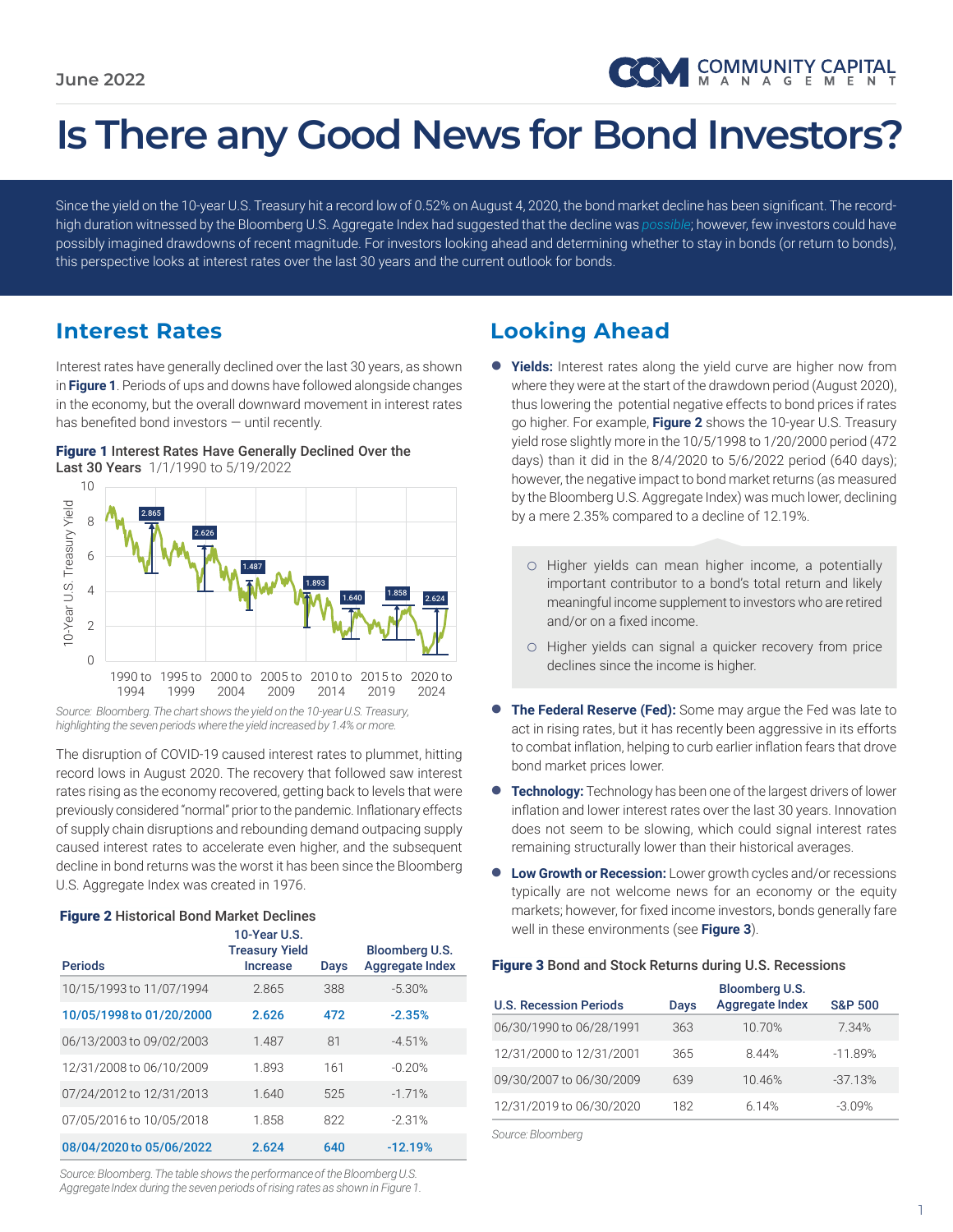

# **Is There any Good News for Bond Investors?**

Since the yield on the 10-year U.S. Treasury hit a record low of 0.52% on August 4, 2020, the bond market decline has been significant. The recordhigh duration witnessed by the Bloomberg U.S. Aggregate Index had suggested that the decline was *possible*; however, few investors could have possibly imagined drawdowns of recent magnitude. For investors looking ahead and determining whether to stay in bonds (or return to bonds), this perspective looks at interest rates over the last 30 years and the current outlook for bonds.

### **Interest Rates**

Interest rates have generally declined over the last 30 years, as shown in **Figure 1**. Periods of ups and downs have followed alongside changes in the economy, but the overall downward movement in interest rates has benefited bond investors — until recently.





*Source: Bloomberg. The chart shows the yield on the 10-year U.S. Treasury, highlighting the seven periods where the yield increased by 1.4% or more.*

The disruption of COVID-19 caused interest rates to plummet, hitting record lows in August 2020. The recovery that followed saw interest rates rising as the economy recovered, getting back to levels that were previously considered "normal" prior to the pandemic. Inflationary effects of supply chain disruptions and rebounding demand outpacing supply caused interest rates to accelerate even higher, and the subsequent decline in bond returns was the worst it has been since the Bloomberg U.S. Aggregate Index was created in 1976.

### Figure 2 Historical Bond Market Declines

| <b>Periods</b>           | 10-Year U.S.<br><b>Treasury Yield</b><br><b>Increase</b> | Days | Bloomberg U.S.<br><b>Aggregate Index</b> |
|--------------------------|----------------------------------------------------------|------|------------------------------------------|
| 10/15/1993 to 11/07/1994 | 2.865                                                    | 388  | $-5.30%$                                 |
| 10/05/1998 to 01/20/2000 | 2.626                                                    | 472  | $-2.35%$                                 |
| 06/13/2003 to 09/02/2003 | 1.487                                                    | 81   | $-4.51%$                                 |
| 12/31/2008 to 06/10/2009 | 1.893                                                    | 161  | $-0.20%$                                 |
| 07/24/2012 to 12/31/2013 | 1.640                                                    | 525  | $-1.71%$                                 |
| 07/05/2016 to 10/05/2018 | 1.858                                                    | 822  | $-2.31%$                                 |
| 08/04/2020 to 05/06/2022 | 2.624                                                    | 640  | $-12.19%$                                |

*Source: Bloomberg. The table shows the performance of the Bloomberg U.S. Aggregate Index during the seven periods of rising rates as shown in Figure 1.*

## **Looking Ahead**

- Yields: Interest rates along the yield curve are higher now from where they were at the start of the drawdown period (August 2020), thus lowering the potential negative effects to bond prices if rates go higher. For example, **Figure 2** shows the 10-year U.S. Treasury yield rose slightly more in the 10/5/1998 to 1/20/2000 period (472 days) than it did in the 8/4/2020 to 5/6/2022 period (640 days); however, the negative impact to bond market returns (as measured by the Bloomberg U.S. Aggregate Index) was much lower, declining by a mere 2.35% compared to a decline of 12.19%.
	- $\circ$  Higher yields can mean higher income, a potentially important contributor to a bond's total return and likely meaningful income supplement to investors who are retired and/or on a fixed income.
	- $\circ$  Higher yields can signal a quicker recovery from price declines since the income is higher.
- Ɣ **The Federal Reserve (Fed):** Some may argue the Fed was late to act in rising rates, but it has recently been aggressive in its efforts to combat inflation, helping to curb earlier inflation fears that drove bond market prices lower.
- **Technology:** Technology has been one of the largest drivers of lower inflation and lower interest rates over the last 30 years. Innovation does not seem to be slowing, which could signal interest rates remaining structurally lower than their historical averages.
- **Low Growth or Recession:** Lower growth cycles and/or recessions typically are not welcome news for an economy or the equity markets; however, for fixed income investors, bonds generally fare well in these environments (see **Figure 3**).

#### Figure 3 Bond and Stock Returns during U.S. Recessions

| <b>U.S. Recession Periods</b> | Days | Bloomberg U.S.<br><b>Aggregate Index</b> | <b>S&amp;P 500</b> |
|-------------------------------|------|------------------------------------------|--------------------|
| 06/30/1990 to 06/28/1991      | 363  | 10.70%                                   | 7.34%              |
| 12/31/2000 to 12/31/2001      | 365  | 844%                                     | $-11.89%$          |
| 09/30/2007 to 06/30/2009      | 639  | 10.46%                                   | $-37.13%$          |
| 12/31/2019 to 06/30/2020      | 182  | 6.14%                                    | $-3.09%$           |

*Source: Bloomberg*